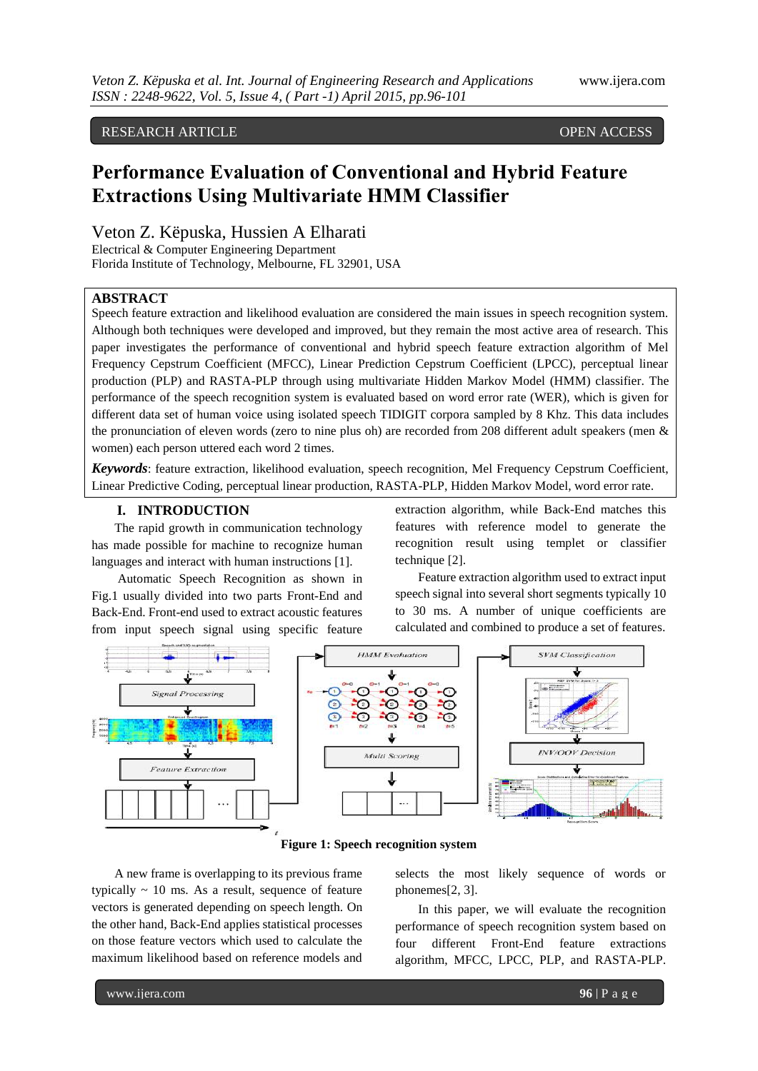# RESEARCH ARTICLE **OPEN ACCESS**

# **Performance Evaluation of Conventional and Hybrid Feature Extractions Using Multivariate HMM Classifier**

Veton Z. Këpuska, Hussien A Elharati

Electrical & Computer Engineering Department Florida Institute of Technology, Melbourne, FL 32901, USA

# **ABSTRACT**

Speech feature extraction and likelihood evaluation are considered the main issues in speech recognition system. Although both techniques were developed and improved, but they remain the most active area of research. This paper investigates the performance of conventional and hybrid speech feature extraction algorithm of Mel Frequency Cepstrum Coefficient (MFCC), Linear Prediction Cepstrum Coefficient (LPCC), perceptual linear production (PLP) and RASTA-PLP through using multivariate Hidden Markov Model (HMM) classifier. The performance of the speech recognition system is evaluated based on word error rate (WER), which is given for different data set of human voice using isolated speech TIDIGIT corpora sampled by 8 Khz. This data includes the pronunciation of eleven words (zero to nine plus oh) are recorded from 208 different adult speakers (men & women) each person uttered each word 2 times.

*Keywords*: feature extraction, likelihood evaluation, speech recognition, Mel Frequency Cepstrum Coefficient, Linear Predictive Coding, perceptual linear production, RASTA-PLP, Hidden Markov Model, word error rate.

#### **I. INTRODUCTION**

The rapid growth in communication technology has made possible for machine to recognize human languages and interact with human instructions [1].

Automatic Speech Recognition as shown in Fig.1 usually divided into two parts Front-End and Back-End. Front-end used to extract acoustic features from input speech signal using specific feature

extraction algorithm, while Back-End matches this features with reference model to generate the recognition result using templet or classifier technique [2].

Feature extraction algorithm used to extract input speech signal into several short segments typically 10 to 30 ms. A number of unique coefficients are calculated and combined to produce a set of features.



# **Figure 1: Speech recognition system**

A new frame is overlapping to its previous frame typically  $\sim$  10 ms. As a result, sequence of feature vectors is generated depending on speech length. On the other hand, Back-End applies statistical processes on those feature vectors which used to calculate the maximum likelihood based on reference models and

selects the most likely sequence of words or phonemes[2, 3].

In this paper, we will evaluate the recognition performance of speech recognition system based on four different Front-End feature extractions algorithm, MFCC, LPCC, PLP, and RASTA-PLP.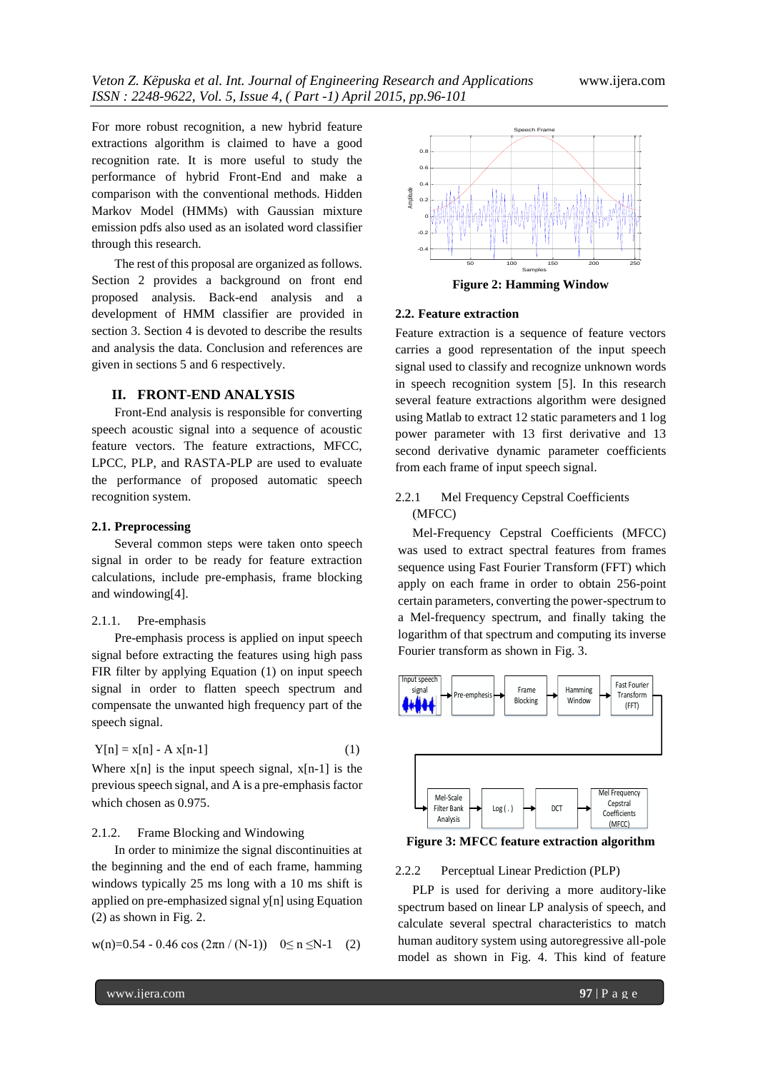For more robust recognition, a new hybrid feature extractions algorithm is claimed to have a good recognition rate. It is more useful to study the performance of hybrid Front-End and make a comparison with the conventional methods. Hidden Markov Model (HMMs) with Gaussian mixture emission pdfs also used as an isolated word classifier through this research.

The rest of this proposal are organized as follows. Section 2 provides a background on front end proposed analysis. Back-end analysis and a development of HMM classifier are provided in section 3. Section 4 is devoted to describe the results and analysis the data. Conclusion and references are given in sections 5 and 6 respectively.

## **II. FRONT-END ANALYSIS**

Front-End analysis is responsible for converting speech acoustic signal into a sequence of acoustic feature vectors. The feature extractions, MFCC, LPCC, PLP, and RASTA-PLP are used to evaluate the performance of proposed automatic speech recognition system.

#### **2.1. Preprocessing**

Several common steps were taken onto speech signal in order to be ready for feature extraction calculations, include pre-emphasis, frame blocking and windowing[4].

#### 2.1.1. Pre-emphasis

Pre-emphasis process is applied on input speech signal before extracting the features using high pass FIR filter by applying Equation (1) on input speech signal in order to flatten speech spectrum and compensate the unwanted high frequency part of the speech signal.

$$
Y[n] = x[n] - A x[n-1]
$$
\n
$$
(1)
$$

Where  $x[n]$  is the input speech signal,  $x[n-1]$  is the previous speech signal, and A is a pre-emphasis factor which chosen as 0.975.

# 2.1.2. Frame Blocking and Windowing

In order to minimize the signal discontinuities at the beginning and the end of each frame, hamming windows typically 25 ms long with a 10 ms shift is applied on pre-emphasized signal y[n] using Equation (2) as shown in Fig. 2.

$$
w(n)=0.54 - 0.46 \cos(2\pi n / (N-1)) \quad 0 \le n \le N-1 \quad (2)
$$



#### **2.2. Feature extraction**

Feature extraction is a sequence of feature vectors carries a good representation of the input speech signal used to classify and recognize unknown words in speech recognition system [5]. In this research several feature extractions algorithm were designed using Matlab to extract 12 static parameters and 1 log power parameter with 13 first derivative and 13 second derivative dynamic parameter coefficients from each frame of input speech signal.

# 2.2.1 Mel Frequency Cepstral Coefficients (MFCC)

Mel-Frequency Cepstral Coefficients (MFCC) was used to extract spectral features from frames sequence using Fast Fourier Transform (FFT) which apply on each frame in order to obtain 256-point certain parameters, converting the power-spectrum to a Mel-frequency spectrum, and finally taking the logarithm of that spectrum and computing its inverse Fourier transform as shown in Fig. 3.



**Figure 3: MFCC feature extraction algorithm**

#### 2.2.2 Perceptual Linear Prediction (PLP)

PLP is used for deriving a more auditory-like spectrum based on linear LP analysis of speech, and calculate several spectral characteristics to match human auditory system using autoregressive all-pole model as shown in Fig. 4. This kind of feature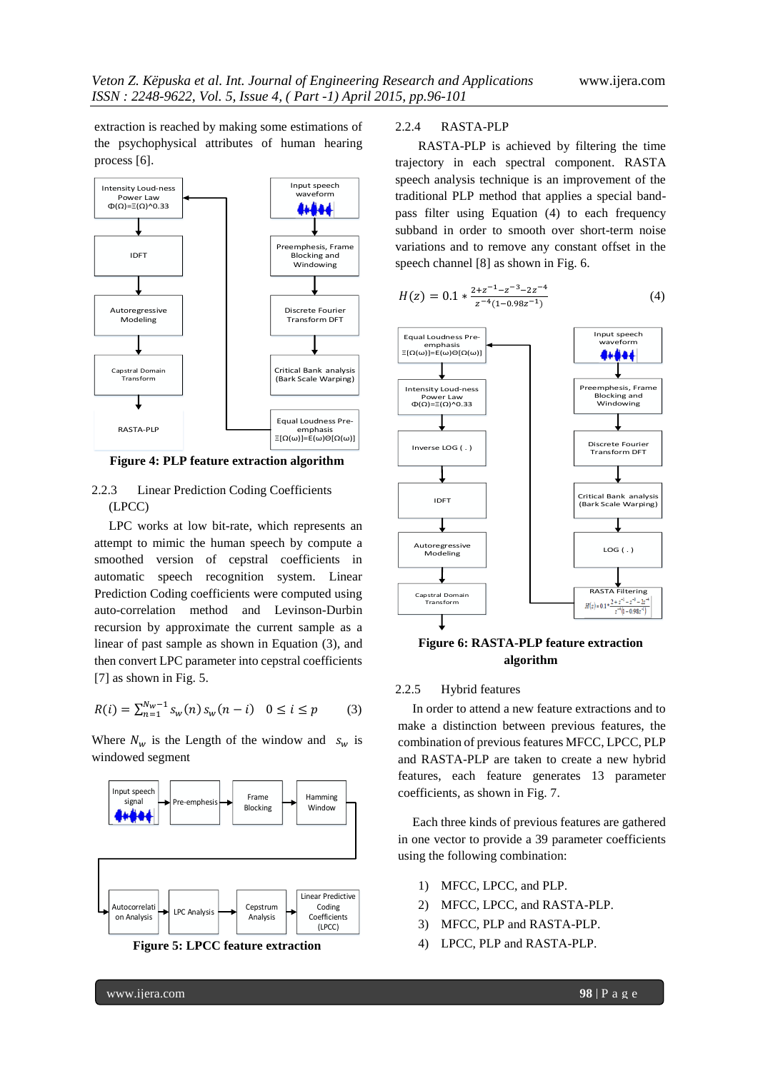extraction is reached by making some estimations of the psychophysical attributes of human hearing process [6].



**Figure 4: PLP feature extraction algorithm**

# 2.2.3 Linear Prediction Coding Coefficients (LPCC)

LPC works at low bit-rate, which represents an attempt to mimic the human speech by compute a smoothed version of cepstral coefficients in automatic speech recognition system. Linear Prediction Coding coefficients were computed using auto-correlation method and Levinson-Durbin recursion by approximate the current sample as a linear of past sample as shown in Equation (3), and then convert LPC parameter into cepstral coefficients [7] as shown in Fig. 5.

$$
R(i) = \sum_{n=1}^{N_w - 1} s_w(n) s_w(n - i) \quad 0 \le i \le p \tag{3}
$$

Where  $N_w$  is the Length of the window and  $s_w$  is windowed segment





## 2.2.4 RASTA-PLP

RASTA-PLP is achieved by filtering the time trajectory in each spectral component. RASTA speech analysis technique is an improvement of the traditional PLP method that applies a special bandpass filter using Equation (4) to each frequency subband in order to smooth over short-term noise variations and to remove any constant offset in the speech channel [8] as shown in Fig. 6.

$$
H(z) = 0.1 * \frac{2 + z^{-1} - z^{-3} - 2z^{-4}}{z^{-4}(1 - 0.98z^{-1})}
$$
(4)



**Figure 6: RASTA-PLP feature extraction algorithm**

#### 2.2.5 Hybrid features

In order to attend a new feature extractions and to make a distinction between previous features, the combination of previous features MFCC, LPCC, PLP and RASTA-PLP are taken to create a new hybrid features, each feature generates 13 parameter coefficients, as shown in Fig. 7.

Each three kinds of previous features are gathered in one vector to provide a 39 parameter coefficients using the following combination:

- 1) MFCC, LPCC, and PLP.
- 2) MFCC, LPCC, and RASTA-PLP.
- 3) MFCC, PLP and RASTA-PLP.
- 4) LPCC, PLP and RASTA-PLP.

www.ijera.com **98** | P a g e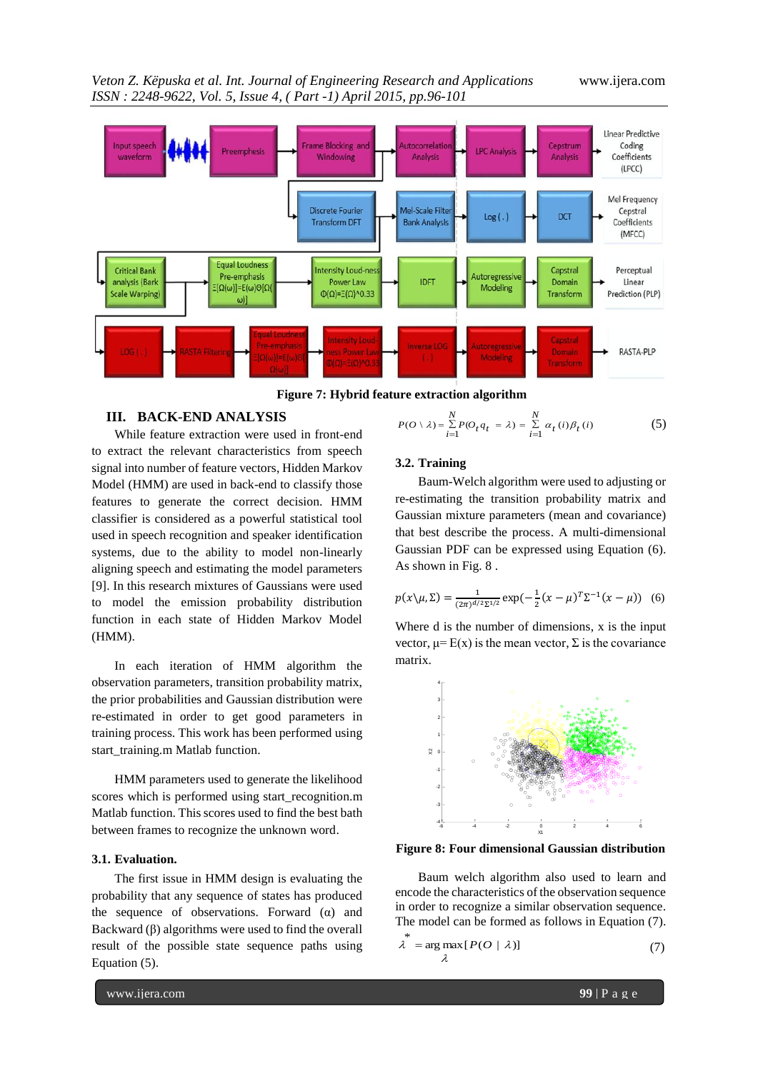*Veton Z. Këpuska et al. Int. Journal of Engineering Research and Applications* www.ijera.com *ISSN : 2248-9622, Vol. 5, Issue 4, ( Part -1) April 2015, pp.96-101*



**Figure 7: Hybrid feature extraction algorithm**

\*

### **III. BACK-END ANALYSIS**

While feature extraction were used in front-end to extract the relevant characteristics from speech signal into number of feature vectors, Hidden Markov Model (HMM) are used in back-end to classify those features to generate the correct decision. HMM classifier is considered as a powerful statistical tool used in speech recognition and speaker identification systems, due to the ability to model non-linearly aligning speech and estimating the model parameters [9]. In this research mixtures of Gaussians were used to model the emission probability distribution function in each state of Hidden Markov Model (HMM).

In each iteration of HMM algorithm the observation parameters, transition probability matrix, the prior probabilities and Gaussian distribution were re-estimated in order to get good parameters in training process. This work has been performed using start\_training.m Matlab function.

HMM parameters used to generate the likelihood scores which is performed using start\_recognition.m Matlab function. This scores used to find the best bath between frames to recognize the unknown word.

## **3.1. Evaluation.**

The first issue in HMM design is evaluating the probability that any sequence of states has produced the sequence of observations. Forward  $(\alpha)$  and Backward  $(\beta)$  algorithms were used to find the overall result of the possible state sequence paths using Equation (5).

$$
P(O \setminus \lambda) = \sum_{i=1}^{N} P(O_t q_t = \lambda) = \sum_{i=1}^{N} \alpha_t(i) \beta_t(i)
$$
 (5)

#### **3.2. Training**

Baum-Welch algorithm were used to adjusting or re-estimating the transition probability matrix and Gaussian mixture parameters (mean and covariance) that best describe the process. A multi-dimensional Gaussian PDF can be expressed using Equation (6). As shown in Fig. 8 .

$$
p(x \setminus \mu, \Sigma) = \frac{1}{(2\pi)^{d/2} \Sigma^{1/2}} \exp(-\frac{1}{2}(x - \mu)^T \Sigma^{-1}(x - \mu))
$$
 (6)

Where d is the number of dimensions, x is the input vector,  $\mu = E(x)$  is the mean vector,  $\Sigma$  is the covariance matrix.



**Figure 8: Four dimensional Gaussian distribution**

Baum welch algorithm also used to learn and encode the characteristics of the observation sequence in order to recognize a similar observation sequence. The model can be formed as follows in Equation (7).

$$
\lambda = \arg \max_{\lambda} [P(O \mid \lambda)] \tag{7}
$$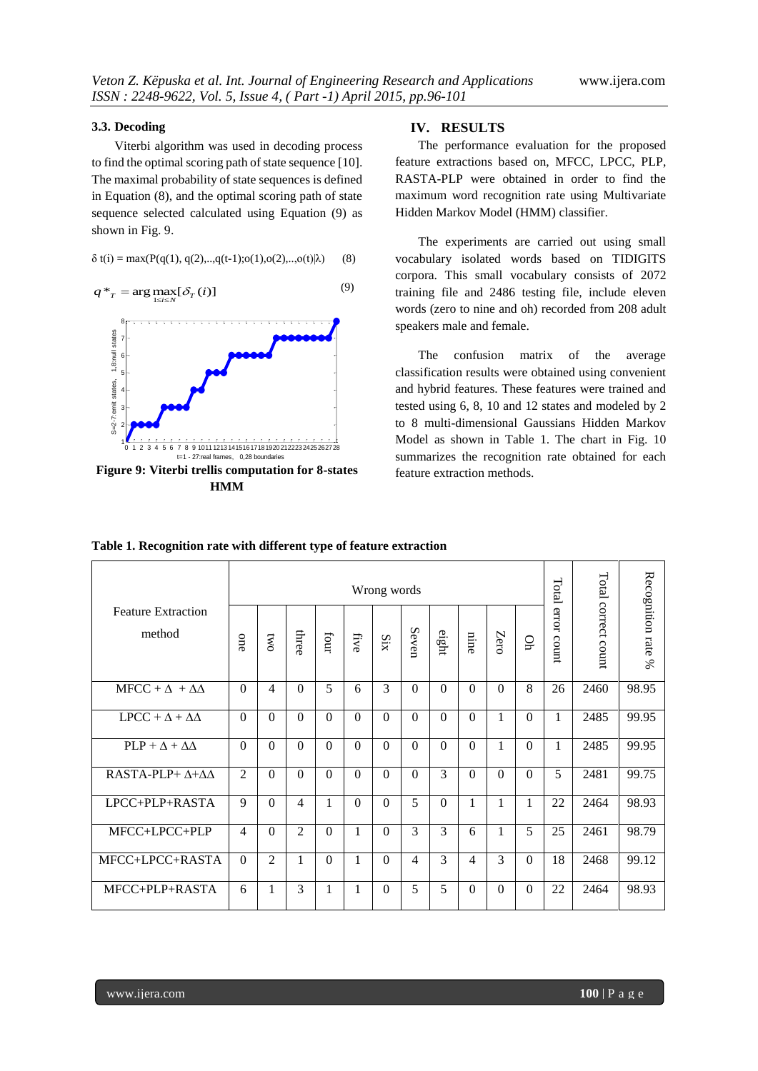#### **3.3. Decoding**

Viterbi algorithm was used in decoding process to find the optimal scoring path of state sequence [10]. The maximal probability of state sequences is defined in Equation (8), and the optimal scoring path of state sequence selected calculated using Equation (9) as shown in Fig. 9.

$$
\delta t(i) = \max(P(q(1), q(2), \ldots, q(t-1); o(1), o(2), \ldots, o(t)|\lambda)
$$
 (8)

$$
q^*_{T} = \arg \max_{1 \le i \le N} [\delta_T(i)] \tag{9}
$$



**Figure 9: Viterbi trellis computation for 8-states HMM**

### **IV. RESULTS**

The performance evaluation for the proposed feature extractions based on, MFCC, LPCC, PLP, RASTA-PLP were obtained in order to find the maximum word recognition rate using Multivariate Hidden Markov Model (HMM) classifier.

The experiments are carried out using small vocabulary isolated words based on TIDIGITS corpora. This small vocabulary consists of 2072 training file and 2486 testing file, include eleven words (zero to nine and oh) recorded from 208 adult speakers male and female.

The confusion matrix of the average classification results were obtained using convenient and hybrid features. These features were trained and tested using 6, 8, 10 and 12 states and modeled by 2 to 8 multi-dimensional Gaussians Hidden Markov Model as shown in [Table 1.](#page-4-0) The chart in Fig. 10 summarizes the recognition rate obtained for each feature extraction methods.

| <b>Feature Extraction</b><br>method | Wrong words    |                |                |          |          |                |                |          |                |          |          | Total          |                     |                          |
|-------------------------------------|----------------|----------------|----------------|----------|----------|----------------|----------------|----------|----------------|----------|----------|----------------|---------------------|--------------------------|
|                                     | one            | <b>DWO</b>     | three          | tour     | five     | SiX            | Seven          | eight    | nine           | Zero     | g        | error<br>count | Total correct count | Recognition rate<br>$\%$ |
| $MFCC + \Delta + \Delta\Delta$      | $\Omega$       | $\overline{4}$ | $\Omega$       | 5        | 6        | 3              | $\overline{0}$ | $\Omega$ | $\Omega$       | $\Omega$ | 8        | 26             | 2460                | 98.95                    |
| $LPCC + \Delta + \Delta\Delta$      | $\Omega$       | $\Omega$       | $\theta$       | $\Omega$ | $\Omega$ | $\Omega$       | $\theta$       | $\Omega$ | $\theta$       | 1        | $\theta$ | 1              | 2485                | 99.95                    |
| $PLP + \Delta + \Delta\Delta$       | $\Omega$       | $\Omega$       | $\Omega$       | $\Omega$ | $\Omega$ | $\overline{0}$ | $\overline{0}$ | $\Omega$ | $\Omega$       | 1        | $\theta$ | 1              | 2485                | 99.95                    |
| RASTA-PLP+ Δ+ΔΔ                     | $\overline{2}$ | $\Omega$       | $\Omega$       | $\Omega$ | $\Omega$ | $\Omega$       | $\theta$       | 3        | $\Omega$       | $\Omega$ | $\theta$ | 5              | 2481                | 99.75                    |
| LPCC+PLP+RASTA                      | 9              | $\Omega$       | 4              | 1        | $\Omega$ | $\Omega$       | 5              | $\Omega$ | 1              | 1        | 1        | 22             | 2464                | 98.93                    |
| MFCC+LPCC+PLP                       | 4              | $\Omega$       | $\mathfrak{D}$ | $\Omega$ | 1        | $\Omega$       | 3              | 3        | 6              | 1        | 5        | 25             | 2461                | 98.79                    |
| MFCC+LPCC+RASTA                     | $\Omega$       | 2              | 1              | $\Omega$ | 1        | $\Omega$       | 4              | 3        | $\overline{4}$ | 3        | $\Omega$ | 18             | 2468                | 99.12                    |
| MFCC+PLP+RASTA                      | 6              | 1              | 3              | 1        | 1        | $\Omega$       | 5              | 5        | $\Omega$       | $\Omega$ | $\Omega$ | 22             | 2464                | 98.93                    |

<span id="page-4-0"></span>**Table 1. Recognition rate with different type of feature extraction**